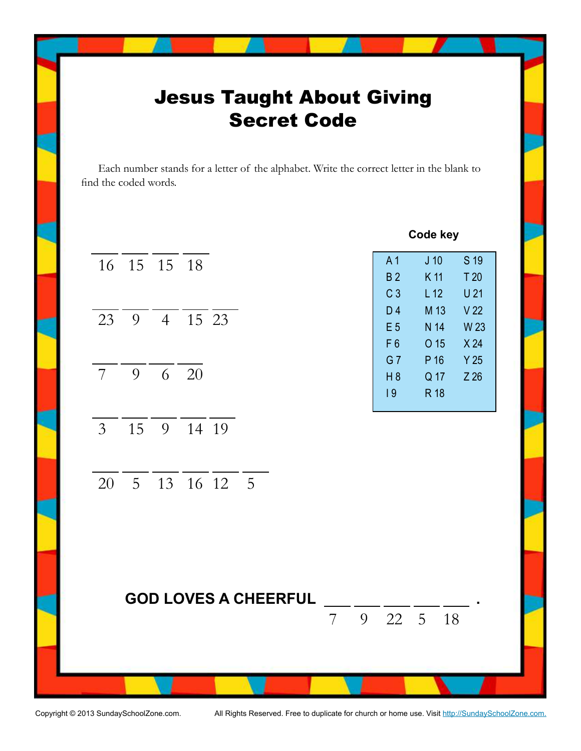## Jesus Taught About Giving Secret Code

Each number stands for a letter of the alphabet. Write the correct letter in the blank to find the coded words.



Copyright © 2013 SundaySchoolZone.com. All Rights Reserved. Free to duplicate for church or home use. Visit http://SundaySchoolZone.com.